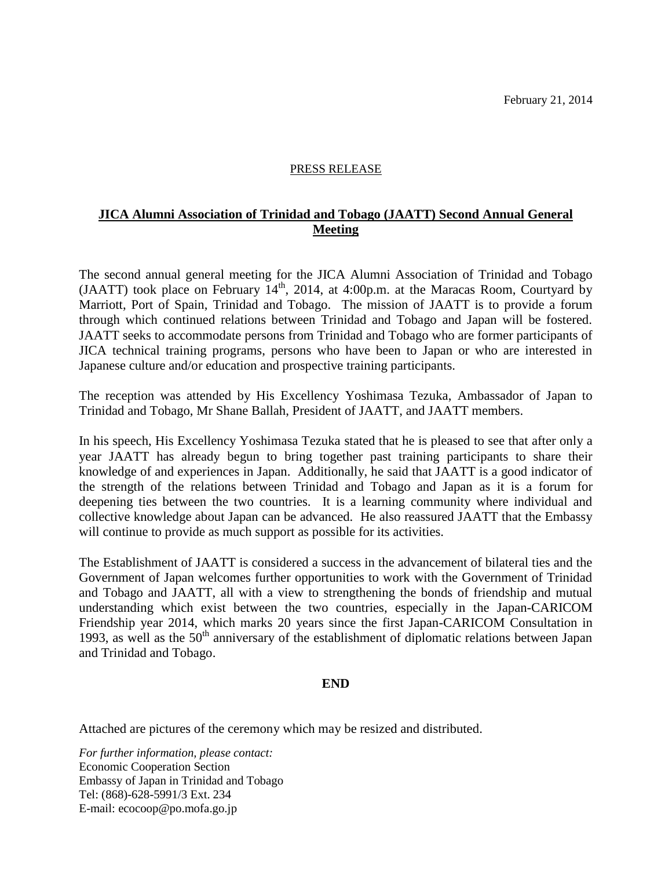## PRESS RELEASE

## **JICA Alumni Association of Trinidad and Tobago (JAATT) Second Annual General Meeting**

The second annual general meeting for the JICA Alumni Association of Trinidad and Tobago (JAATT) took place on February  $14<sup>th</sup>$ , 2014, at 4:00p.m. at the Maracas Room, Courtyard by Marriott, Port of Spain, Trinidad and Tobago. The mission of JAATT is to provide a forum through which continued relations between Trinidad and Tobago and Japan will be fostered. JAATT seeks to accommodate persons from Trinidad and Tobago who are former participants of JICA technical training programs, persons who have been to Japan or who are interested in Japanese culture and/or education and prospective training participants.

The reception was attended by His Excellency Yoshimasa Tezuka, Ambassador of Japan to Trinidad and Tobago, Mr Shane Ballah, President of JAATT, and JAATT members.

In his speech, His Excellency Yoshimasa Tezuka stated that he is pleased to see that after only a year JAATT has already begun to bring together past training participants to share their knowledge of and experiences in Japan. Additionally, he said that JAATT is a good indicator of the strength of the relations between Trinidad and Tobago and Japan as it is a forum for deepening ties between the two countries. It is a learning community where individual and collective knowledge about Japan can be advanced. He also reassured JAATT that the Embassy will continue to provide as much support as possible for its activities.

The Establishment of JAATT is considered a success in the advancement of bilateral ties and the Government of Japan welcomes further opportunities to work with the Government of Trinidad and Tobago and JAATT, all with a view to strengthening the bonds of friendship and mutual understanding which exist between the two countries, especially in the Japan-CARICOM Friendship year 2014, which marks 20 years since the first Japan-CARICOM Consultation in 1993, as well as the  $50<sup>th</sup>$  anniversary of the establishment of diplomatic relations between Japan and Trinidad and Tobago.

## **END**

Attached are pictures of the ceremony which may be resized and distributed.

*For further information, please contact:* Economic Cooperation Section Embassy of Japan in Trinidad and Tobago Tel: (868)-628-5991/3 Ext. 234 E-mail: ecocoop@po.mofa.go.jp